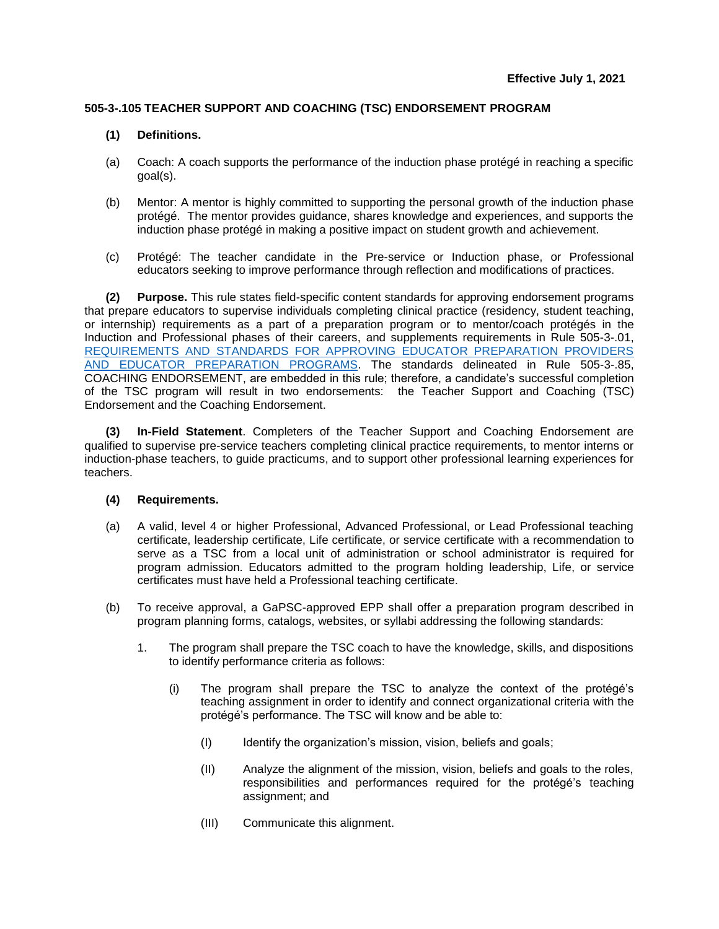## **505-3-.105 TEACHER SUPPORT AND COACHING (TSC) ENDORSEMENT PROGRAM**

## **(1) Definitions.**

- (a) Coach: A coach supports the performance of the induction phase protégé in reaching a specific goal(s).
- (b) Mentor: A mentor is highly committed to supporting the personal growth of the induction phase protégé. The mentor provides guidance, shares knowledge and experiences, and supports the induction phase protégé in making a positive impact on student growth and achievement.
- (c) Protégé: The teacher candidate in the Pre-service or Induction phase, or Professional educators seeking to improve performance through reflection and modifications of practices.

**(2) Purpose.** This rule states field-specific content standards for approving endorsement programs that prepare educators to supervise individuals completing clinical practice (residency, student teaching, or internship) requirements as a part of a preparation program or to mentor/coach protégés in the Induction and Professional phases of their careers, and supplements requirements in Rule 505-3-.01, [REQUIREMENTS AND STANDARDS FOR APPROVING EDUCATOR PREPARATION PROVIDERS](https://www.gapsc.com/Rules/Current/EducatorPreparation/505-3-.01.pdf?dt=%3C%25#Eval()  [AND EDUCATOR PREPARATION PROGRAMS.](https://www.gapsc.com/Rules/Current/EducatorPreparation/505-3-.01.pdf?dt=%3C%25#Eval() The standards delineated in Rule 505-3-.85, COACHING ENDORSEMENT, are embedded in this rule; therefore, a candidate's successful completion of the TSC program will result in two endorsements: the Teacher Support and Coaching (TSC) Endorsement and the Coaching Endorsement.

**(3) In-Field Statement**. Completers of the Teacher Support and Coaching Endorsement are qualified to supervise pre-service teachers completing clinical practice requirements, to mentor interns or induction-phase teachers, to guide practicums, and to support other professional learning experiences for teachers.

## **(4) Requirements.**

- (a) A valid, level 4 or higher Professional, Advanced Professional, or Lead Professional teaching certificate, leadership certificate, Life certificate, or service certificate with a recommendation to serve as a TSC from a local unit of administration or school administrator is required for program admission. Educators admitted to the program holding leadership, Life, or service certificates must have held a Professional teaching certificate.
- (b) To receive approval, a GaPSC-approved EPP shall offer a preparation program described in program planning forms, catalogs, websites, or syllabi addressing the following standards:
	- 1. The program shall prepare the TSC coach to have the knowledge, skills, and dispositions to identify performance criteria as follows:
		- (i) The program shall prepare the TSC to analyze the context of the protégé's teaching assignment in order to identify and connect organizational criteria with the protégé's performance. The TSC will know and be able to:
			- (I) Identify the organization's mission, vision, beliefs and goals;
			- (II) Analyze the alignment of the mission, vision, beliefs and goals to the roles, responsibilities and performances required for the protégé's teaching assignment; and
			- (III) Communicate this alignment.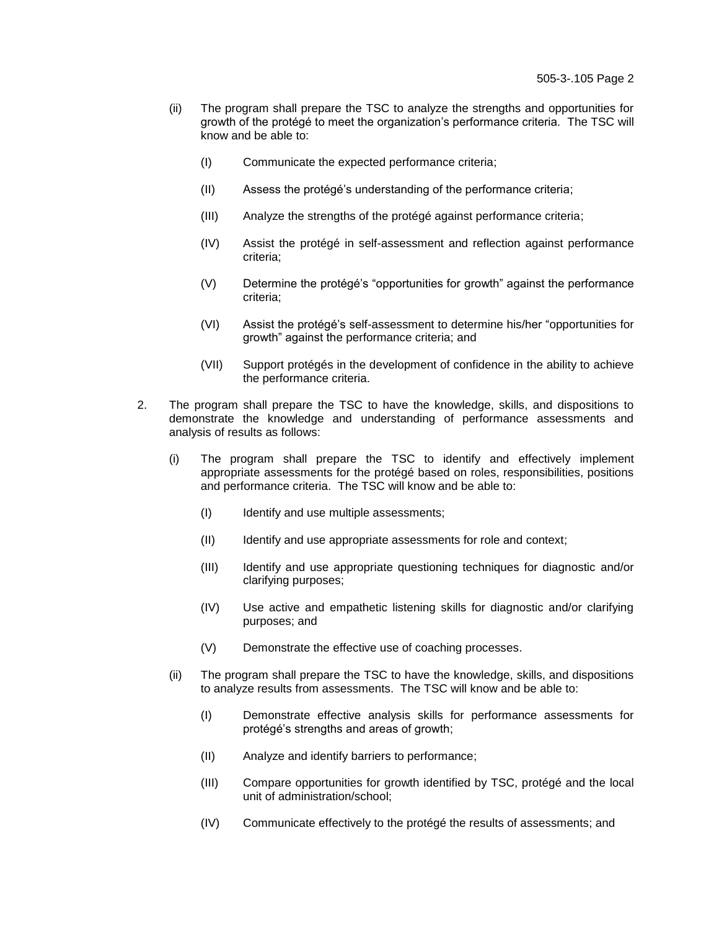- (ii) The program shall prepare the TSC to analyze the strengths and opportunities for growth of the protégé to meet the organization's performance criteria. The TSC will know and be able to:
	- (I) Communicate the expected performance criteria;
	- (II) Assess the protégé's understanding of the performance criteria;
	- (III) Analyze the strengths of the protégé against performance criteria;
	- (IV) Assist the protégé in self-assessment and reflection against performance criteria;
	- (V) Determine the protégé's "opportunities for growth" against the performance criteria;
	- (VI) Assist the protégé's self-assessment to determine his/her "opportunities for growth" against the performance criteria; and
	- (VII) Support protégés in the development of confidence in the ability to achieve the performance criteria.
- 2. The program shall prepare the TSC to have the knowledge, skills, and dispositions to demonstrate the knowledge and understanding of performance assessments and analysis of results as follows:
	- (i) The program shall prepare the TSC to identify and effectively implement appropriate assessments for the protégé based on roles, responsibilities, positions and performance criteria. The TSC will know and be able to:
		- (I) Identify and use multiple assessments;
		- (II) Identify and use appropriate assessments for role and context;
		- (III) Identify and use appropriate questioning techniques for diagnostic and/or clarifying purposes;
		- (IV) Use active and empathetic listening skills for diagnostic and/or clarifying purposes; and
		- (V) Demonstrate the effective use of coaching processes.
	- (ii) The program shall prepare the TSC to have the knowledge, skills, and dispositions to analyze results from assessments. The TSC will know and be able to:
		- (I) Demonstrate effective analysis skills for performance assessments for protégé's strengths and areas of growth;
		- (II) Analyze and identify barriers to performance;
		- (III) Compare opportunities for growth identified by TSC, protégé and the local unit of administration/school;
		- (IV) Communicate effectively to the protégé the results of assessments; and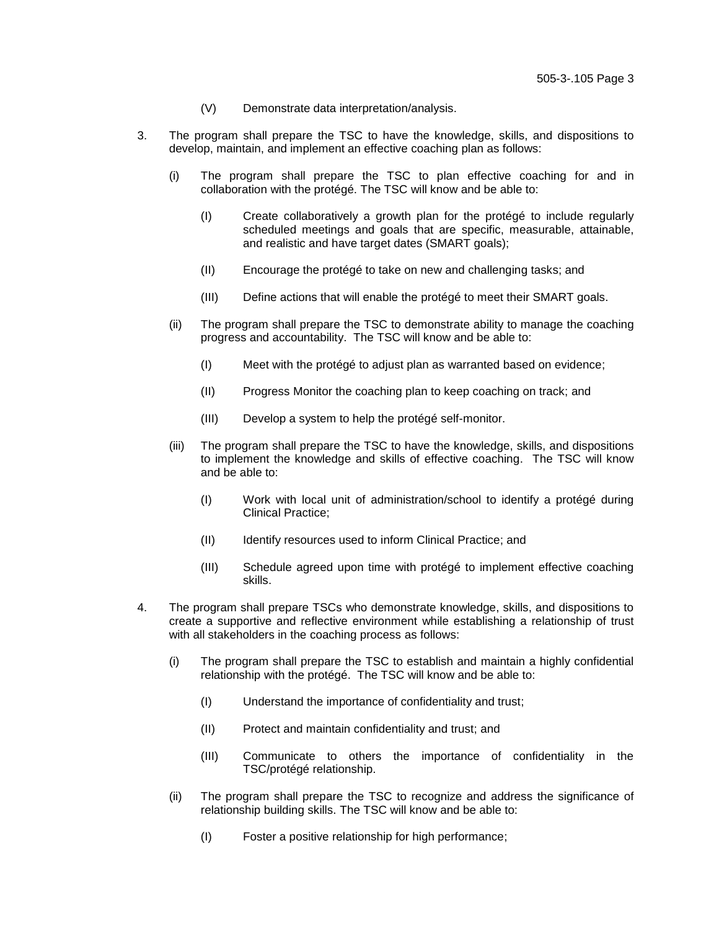- (V) Demonstrate data interpretation/analysis.
- 3. The program shall prepare the TSC to have the knowledge, skills, and dispositions to develop, maintain, and implement an effective coaching plan as follows:
	- (i) The program shall prepare the TSC to plan effective coaching for and in collaboration with the protégé. The TSC will know and be able to:
		- (I) Create collaboratively a growth plan for the protégé to include regularly scheduled meetings and goals that are specific, measurable, attainable, and realistic and have target dates (SMART goals);
		- (II) Encourage the protégé to take on new and challenging tasks; and
		- (III) Define actions that will enable the protégé to meet their SMART goals.
	- (ii) The program shall prepare the TSC to demonstrate ability to manage the coaching progress and accountability. The TSC will know and be able to:
		- (I) Meet with the protégé to adjust plan as warranted based on evidence;
		- (II) Progress Monitor the coaching plan to keep coaching on track; and
		- (III) Develop a system to help the protégé self-monitor.
	- (iii) The program shall prepare the TSC to have the knowledge, skills, and dispositions to implement the knowledge and skills of effective coaching. The TSC will know and be able to:
		- (I) Work with local unit of administration/school to identify a protégé during Clinical Practice;
		- (II) Identify resources used to inform Clinical Practice; and
		- (III) Schedule agreed upon time with protégé to implement effective coaching skills.
- 4. The program shall prepare TSCs who demonstrate knowledge, skills, and dispositions to create a supportive and reflective environment while establishing a relationship of trust with all stakeholders in the coaching process as follows:
	- (i) The program shall prepare the TSC to establish and maintain a highly confidential relationship with the protégé. The TSC will know and be able to:
		- (I) Understand the importance of confidentiality and trust;
		- (II) Protect and maintain confidentiality and trust; and
		- (III) Communicate to others the importance of confidentiality in the TSC/protégé relationship.
	- (ii) The program shall prepare the TSC to recognize and address the significance of relationship building skills. The TSC will know and be able to:
		- (I) Foster a positive relationship for high performance;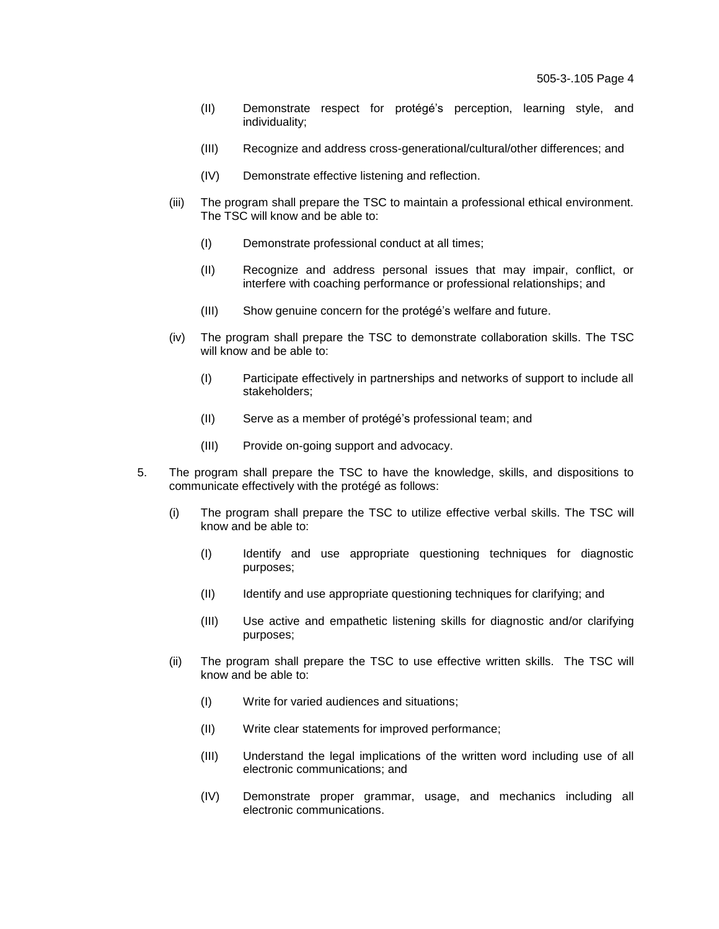- (II) Demonstrate respect for protégé's perception, learning style, and individuality;
- (III) Recognize and address cross-generational/cultural/other differences; and
- (IV) Demonstrate effective listening and reflection.
- (iii) The program shall prepare the TSC to maintain a professional ethical environment. The TSC will know and be able to:
	- (I) Demonstrate professional conduct at all times;
	- (II) Recognize and address personal issues that may impair, conflict, or interfere with coaching performance or professional relationships; and
	- (III) Show genuine concern for the protégé's welfare and future.
- (iv) The program shall prepare the TSC to demonstrate collaboration skills. The TSC will know and be able to:
	- (I) Participate effectively in partnerships and networks of support to include all stakeholders;
	- (II) Serve as a member of protégé's professional team; and
	- (III) Provide on-going support and advocacy.
- 5. The program shall prepare the TSC to have the knowledge, skills, and dispositions to communicate effectively with the protégé as follows:
	- (i) The program shall prepare the TSC to utilize effective verbal skills. The TSC will know and be able to:
		- (I) Identify and use appropriate questioning techniques for diagnostic purposes;
		- (II) Identify and use appropriate questioning techniques for clarifying; and
		- (III) Use active and empathetic listening skills for diagnostic and/or clarifying purposes;
	- (ii) The program shall prepare the TSC to use effective written skills. The TSC will know and be able to:
		- (I) Write for varied audiences and situations;
		- (II) Write clear statements for improved performance;
		- (III) Understand the legal implications of the written word including use of all electronic communications; and
		- (IV) Demonstrate proper grammar, usage, and mechanics including all electronic communications.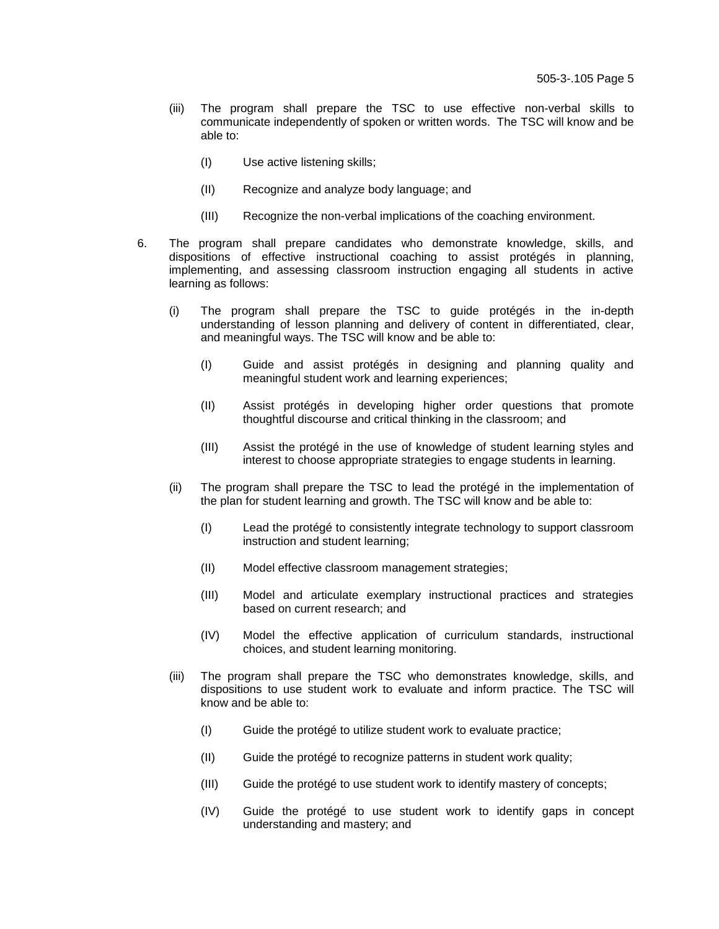- (iii) The program shall prepare the TSC to use effective non-verbal skills to communicate independently of spoken or written words. The TSC will know and be able to:
	- (I) Use active listening skills;
	- (II) Recognize and analyze body language; and
	- (III) Recognize the non-verbal implications of the coaching environment.
- 6. The program shall prepare candidates who demonstrate knowledge, skills, and dispositions of effective instructional coaching to assist protégés in planning, implementing, and assessing classroom instruction engaging all students in active learning as follows:
	- (i) The program shall prepare the TSC to guide protégés in the in-depth understanding of lesson planning and delivery of content in differentiated, clear, and meaningful ways. The TSC will know and be able to:
		- (I) Guide and assist protégés in designing and planning quality and meaningful student work and learning experiences;
		- (II) Assist protégés in developing higher order questions that promote thoughtful discourse and critical thinking in the classroom; and
		- (III) Assist the protégé in the use of knowledge of student learning styles and interest to choose appropriate strategies to engage students in learning.
	- (ii) The program shall prepare the TSC to lead the protégé in the implementation of the plan for student learning and growth. The TSC will know and be able to:
		- (I) Lead the protégé to consistently integrate technology to support classroom instruction and student learning;
		- (II) Model effective classroom management strategies;
		- (III) Model and articulate exemplary instructional practices and strategies based on current research; and
		- (IV) Model the effective application of curriculum standards, instructional choices, and student learning monitoring.
	- (iii) The program shall prepare the TSC who demonstrates knowledge, skills, and dispositions to use student work to evaluate and inform practice. The TSC will know and be able to:
		- (I) Guide the protégé to utilize student work to evaluate practice;
		- (II) Guide the protégé to recognize patterns in student work quality;
		- (III) Guide the protégé to use student work to identify mastery of concepts;
		- (IV) Guide the protégé to use student work to identify gaps in concept understanding and mastery; and